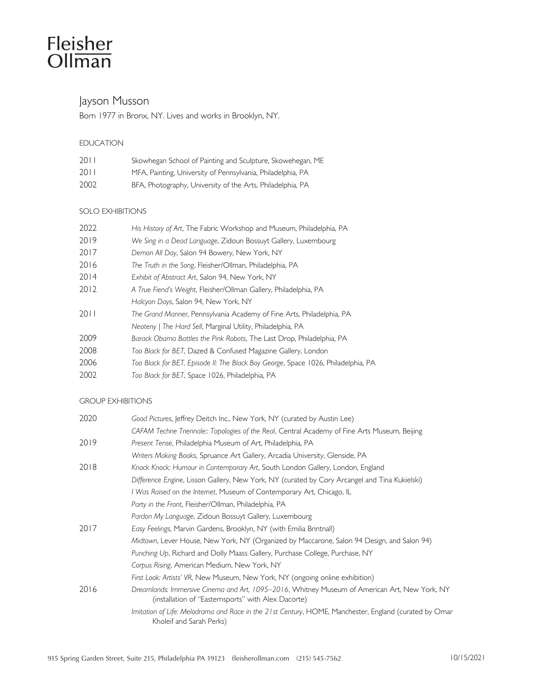# Fleisher<br>Ollman

# Jayson Musson

Born 1977 in Bronx, NY. Lives and works in Brooklyn, NY.

# EDUCATION

| 2011   | Skowhegan School of Painting and Sculpture, Skowehegan, ME  |
|--------|-------------------------------------------------------------|
| 20 L L | MFA, Painting, University of Pennsylvania, Philadelphia, PA |
| 2002   | BFA, Photography, University of the Arts, Philadelphia, PA  |

## SOLO EXHIBITIONS

| 2022 | His History of Art, The Fabric Workshop and Museum, Philadelphia, PA              |
|------|-----------------------------------------------------------------------------------|
| 2019 | We Sing in a Dead Language, Zidoun Bossuyt Gallery, Luxembourg                    |
| 2017 | Demon All Day, Salon 94 Bowery, New York, NY                                      |
| 2016 | The Truth in the Song, Fleisher/Ollman, Philadelphia, PA                          |
| 2014 | Exhibit of Abstract Art, Salon 94, New York, NY                                   |
| 2012 | A True Fiend's Weight, Fleisher/Ollman Gallery, Philadelphia, PA                  |
|      | Halcyon Days, Salon 94, New York, NY                                              |
| 2011 | The Grand Manner, Pennsylvania Academy of Fine Arts, Philadelphia, PA             |
|      | Neoteny   The Hard Sell, Marginal Utility, Philadelphia, PA                       |
| 2009 | Barack Obama Battles the Pink Robots, The Last Drop, Philadelphia, PA             |
| 2008 | Too Black for BET, Dazed & Confused Magazine Gallery, London                      |
| 2006 | Too Black for BET, Episode II: The Black Boy George, Space 1026, Philadelphia, PA |
| 2002 | Too Black for BET, Space 1026, Philadelphia, PA                                   |
|      |                                                                                   |

### GROUP EXHIBITIONS

| 2020 | Good Pictures, Jeffrey Deitch Inc., New York, NY (curated by Austin Lee)                                                                             |
|------|------------------------------------------------------------------------------------------------------------------------------------------------------|
|      | CAFAM Techne Triennale:: Topologies of the Real, Central Academy of Fine Arts Museum, Beijing                                                        |
| 2019 | Present Tense, Philadelphia Museum of Art, Philadelphia, PA                                                                                          |
|      | Writers Making Books, Spruance Art Gallery, Arcadia University, Glenside, PA                                                                         |
| 2018 | Knock Knock: Humour in Contemporary Art, South London Gallery, London, England                                                                       |
|      | Difference Engine, Lisson Gallery, New York, NY (curated by Cory Arcangel and Tina Kukielski)                                                        |
|      | I Was Raised on the Internet, Museum of Contemporary Art, Chicago, IL                                                                                |
|      | Party in the Front, Fleisher/Ollman, Philadelphia, PA                                                                                                |
|      | Pardon My Language, Zidoun Bossuyt Gallery, Luxembourg                                                                                               |
| 2017 | Easy Feelings, Marvin Gardens, Brooklyn, NY (with Emilia Brintnall)                                                                                  |
|      | Midtown, Lever House, New York, NY (Organized by Maccarone, Salon 94 Design, and Salon 94)                                                           |
|      | Punching Up, Richard and Dolly Maass Gallery, Purchase College, Purchase, NY                                                                         |
|      | Corpus Rising, American Medium, New York, NY                                                                                                         |
|      | First Look: Artists' VR, New Museum, New York, NY (ongoing online exhibition)                                                                        |
| 2016 | Dreamlands: Immersive Cinema and Art, 1095-2016, Whitney Museum of American Art, New York, NY<br>(installation of "Easternsports" with Alex Dacorte) |
|      | Imitation of Life: Melodrama and Race in the 21st Century, HOME, Manchester, England (curated by Omar<br>Kholeif and Sarah Perks)                    |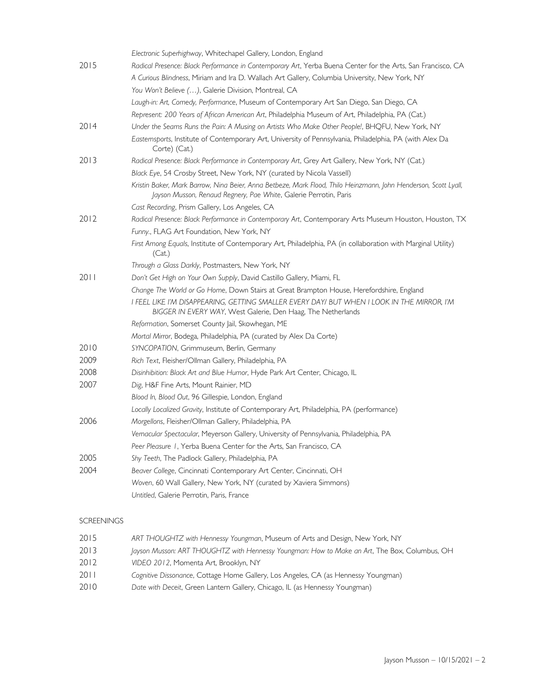|      | Electronic Superhighway, Whitechapel Gallery, London, England                                                                                                                        |
|------|--------------------------------------------------------------------------------------------------------------------------------------------------------------------------------------|
| 2015 | Radical Presence: Black Performance in Contemporary Art, Yerba Buena Center for the Arts, San Francisco, CA                                                                          |
|      | A Curious Blindness, Miriam and Ira D. Wallach Art Gallery, Columbia University, New York, NY                                                                                        |
|      | You Won't Believe (), Galerie Division, Montreal, CA                                                                                                                                 |
|      | Laugh-in: Art, Comedy, Performance, Museum of Contemporary Art San Diego, San Diego, CA                                                                                              |
|      | Represent: 200 Years of African American Art, Philadelphia Museum of Art, Philadelphia, PA (Cat.)                                                                                    |
| 2014 | Under the Seams Runs the Pain: A Musing on Artists Who Make Other People!, BHQFU, New York, NY                                                                                       |
|      | Eastemsports, Institute of Contemporary Art, University of Pennsylvania, Philadelphia, PA (with Alex Da<br>Corte) (Cat.)                                                             |
| 2013 | Radical Presence: Black Performance in Contemporary Art, Grey Art Gallery, New York, NY (Cat.)                                                                                       |
|      | Black Eye, 54 Crosby Street, New York, NY (curated by Nicola Vassell)                                                                                                                |
|      | Kristin Baker, Mark Barrow, Nina Beier, Anna Betbeze, Mark Flood, Thilo Heinzmann, John Henderson, Scott Lyall,<br>Jayson Musson, Renaud Regnery, Pae White, Galerie Perrotin, Paris |
|      | Cast Recording, Prism Gallery, Los Angeles, CA                                                                                                                                       |
| 2012 | Radical Presence: Black Performance in Contemporary Art, Contemporary Arts Museum Houston, Houston, TX                                                                               |
|      | Funny., FLAG Art Foundation, New York, NY                                                                                                                                            |
|      | First Among Equals, Institute of Contemporary Art, Philadelphia, PA (in collaboration with Marginal Utility)<br>(Cat.)                                                               |
|      | Through a Glass Darkly, Postmasters, New York, NY                                                                                                                                    |
| 2011 | Don't Get High on Your Own Supply, David Castillo Gallery, Miami, FL                                                                                                                 |
|      | Change The World or Go Home, Down Stairs at Great Brampton House, Herefordshire, England                                                                                             |
|      | I FEEL LIKE I'M DISAPPEARING, GETTING SMALLER EVERY DAY/ BUT WHEN I LOOK IN THE MIRROR, I'M<br>BIGGER IN EVERY WAY, West Galerie, Den Haag, The Netherlands                          |
|      | Reformation, Somerset County Jail, Skowhegan, ME                                                                                                                                     |
|      | Mortal Mirror, Bodega, Philadelphia, PA (curated by Alex Da Corte)                                                                                                                   |
| 2010 | SYNCOPATION, Grimmuseum, Berlin, Germany                                                                                                                                             |
| 2009 | Rich Text, Fleisher/Ollman Gallery, Philadelphia, PA                                                                                                                                 |
| 2008 | Disinhibition: Black Art and Blue Humor, Hyde Park Art Center, Chicago, IL                                                                                                           |
| 2007 | Dig, H&F Fine Arts, Mount Rainier, MD                                                                                                                                                |
|      | Blood In, Blood Out, 96 Gillespie, London, England                                                                                                                                   |
|      | Locally Localized Gravity, Institute of Contemporary Art, Philadelphia, PA (performance)                                                                                             |
| 2006 | Morgellons, Fleisher/Ollman Gallery, Philadelphia, PA                                                                                                                                |
|      | Vernacular Spectacular, Meyerson Gallery, University of Pennsylvania, Philadelphia, PA                                                                                               |
|      | Peer Pleasure 1, Yerba Buena Center for the Arts, San Francisco, CA                                                                                                                  |
| 2005 | Shy Teeth, The Padlock Gallery, Philadelphia, PA                                                                                                                                     |
| 2004 | Beaver College, Cincinnati Contemporary Art Center, Cincinnati, OH                                                                                                                   |
|      | Woven, 60 Wall Gallery, New York, NY (curated by Xaviera Simmons)                                                                                                                    |
|      | Untitled, Galerie Perrotin, Paris, France                                                                                                                                            |
|      |                                                                                                                                                                                      |

# SCREENINGS

| 2015 | ART THOUGHTZ with Hennessy Youngman, Museum of Arts and Design, New York, NY                  |
|------|-----------------------------------------------------------------------------------------------|
| 2013 | Jayson Musson: ART THOUGHTZ with Hennessy Youngman: How to Make an Art, The Box, Columbus, OH |
| 2012 | VIDEO 2012, Momenta Art, Brooklyn, NY                                                         |
| 2011 | Cognitive Dissonance, Cottage Home Gallery, Los Angeles, CA (as Hennessy Youngman)            |
| 2010 | Date with Deceit, Green Lantern Gallery, Chicago, IL (as Hennessy Youngman)                   |
|      |                                                                                               |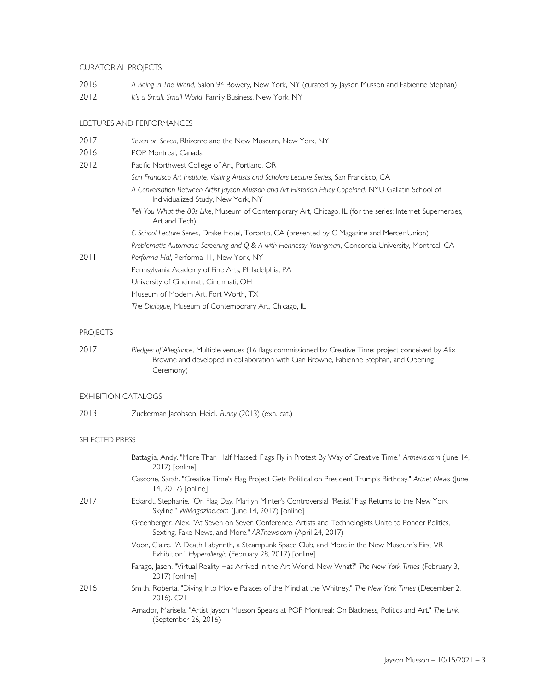#### CURATORIAL PROJECTS

- 2016 *A Being in The World*, Salon 94 Bowery, New York, NY (curated by Jayson Musson and Fabienne Stephan)
- 2012 *It's a Small, Small World*, Family Business, New York, NY

#### LECTURES AND PERFORMANCES

| 2017 | Seven on Seven, Rhizome and the New Museum, New York, NY                                                                                  |
|------|-------------------------------------------------------------------------------------------------------------------------------------------|
| 2016 | POP Montreal, Canada                                                                                                                      |
| 2012 | Pacific Northwest College of Art, Portland, OR                                                                                            |
|      | San Francisco Art Institute, Visiting Artists and Scholars Lecture Series, San Francisco, CA                                              |
|      | A Conversation Between Artist Jayson Musson and Art Historian Huey Copeland, NYU Gallatin School of<br>Individualized Study, New York, NY |
|      | Tell You What the 80s Like, Museum of Contemporary Art, Chicago, IL (for the series: Internet Superheroes,<br>Art and Tech)               |
|      | C School Lecture Series, Drake Hotel, Toronto, CA (presented by C Magazine and Mercer Union)                                              |
|      | Problematic Automatic: Screening and Q & A with Hennessy Youngman, Concordia University, Montreal, CA                                     |
| 2011 | Performa Ha!, Performa 11, New York, NY                                                                                                   |
|      | Pennsylvania Academy of Fine Arts, Philadelphia, PA                                                                                       |
|      | University of Cincinnati, Cincinnati, OH                                                                                                  |
|      | Museum of Modern Art, Fort Worth, TX                                                                                                      |
|      | The Dialogue, Museum of Contemporary Art, Chicago, IL                                                                                     |
|      |                                                                                                                                           |

#### **PROJECTS**

2017 *Pledges of Allegiance*, Multiple venues (16 flags commissioned by Creative Time; project conceived by Alix Browne and developed in collaboration with Cian Browne, Fabienne Stephan, and Opening Ceremony)

#### EXHIBITION CATALOGS

2013 Zuckerman Jacobson, Heidi. *Funny* (2013) (exh. cat.)

#### SELECTED PRESS

|      | Battaglia, Andy. "More Than Half Massed: Flags Fly in Protest By Way of Creative Time." Artnews.com (June 14,<br>2017) [online]                                      |
|------|----------------------------------------------------------------------------------------------------------------------------------------------------------------------|
|      | Cascone, Sarah. "Creative Time's Flag Project Gets Political on President Trump's Birthday." Artnet News (June<br>14, 2017) [online]                                 |
| 2017 | Eckardt, Stephanie. "On Flag Day, Marilyn Minter's Controversial "Resist" Flag Returns to the New York<br>Skyline." WMagazine.com (June 14, 2017) [online]           |
|      | Greenberger, Alex. "At Seven on Seven Conference, Artists and Technologists Unite to Ponder Politics,<br>Sexting, Fake News, and More." ARTnews.com (April 24, 2017) |
|      | Voon, Claire. "A Death Labyrinth, a Steampunk Space Club, and More in the New Museum's First VR<br>Exhibition." Hyperallergic (February 28, 2017) [online]           |
|      | Farago, Jason. "Virtual Reality Has Arrived in the Art World. Now What?" The New York Times (February 3,<br>2017) [online]                                           |
| 2016 | Smith, Roberta. "Diving Into Movie Palaces of the Mind at the Whitney." The New York Times (December 2,<br>$2016$ : C <sub>2</sub> 1                                 |
|      | Amador, Marisela. "Artist Jayson Musson Speaks at POP Montreal: On Blackness, Politics and Art." The Link<br>(September 26, 2016)                                    |
|      |                                                                                                                                                                      |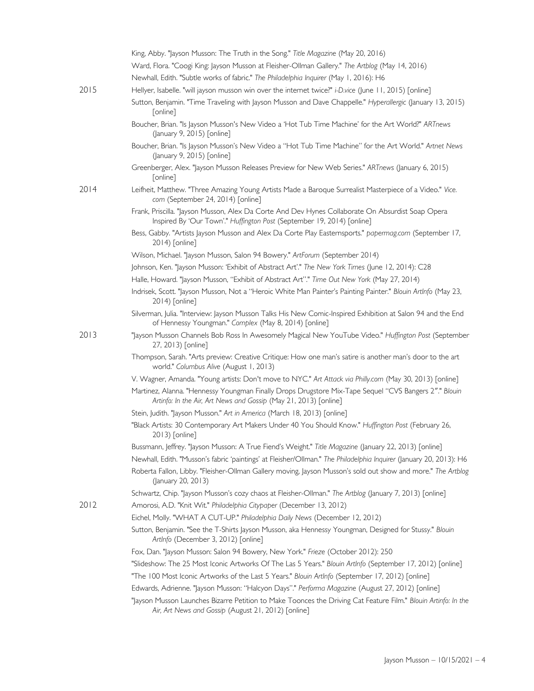|      | King, Abby. "Jayson Musson: The Truth in the Song." Title Magazine (May 20, 2016)                                                                                           |
|------|-----------------------------------------------------------------------------------------------------------------------------------------------------------------------------|
|      | Ward, Flora. "Coogi King: Jayson Musson at Fleisher-Ollman Gallery." The Artblog (May 14, 2016)                                                                             |
|      | Newhall, Edith. "Subtle works of fabric." The Philadelphia Inquirer (May 1, 2016): H6                                                                                       |
| 2015 | Hellyer, Isabelle. "will jayson musson win over the internet twice?" i-D.vice (June 11, 2015) [online]                                                                      |
|      | Sutton, Benjamin. "Time Traveling with Jayson Musson and Dave Chappelle." Hyperallergic (January 13, 2015)<br>[online]                                                      |
|      | Boucher, Brian. "Is Jayson Musson's New Video a 'Hot Tub Time Machine' for the Art World?" ARTnews<br>(January 9, 2015) [online]                                            |
|      | Boucher, Brian. "Is Jayson Musson's New Video a "Hot Tub Time Machine" for the Art World." Artnet News<br>(January 9, 2015) [online]                                        |
|      | Greenberger, Alex. "Jayson Musson Releases Preview for New Web Series." ARTnews (January 6, 2015)<br>[online]                                                               |
| 2014 | Leifheit, Matthew. "Three Amazing Young Artists Made a Baroque Surrealist Masterpiece of a Video." Vice.<br>com (September 24, 2014) [online]                               |
|      | Frank, Priscilla. "Jayson Musson, Alex Da Corte And Dev Hynes Collaborate On Absurdist Soap Opera<br>Inspired By 'Our Town'." Huffington Post (September 19, 2014) [online] |
|      | Bess, Gabby. "Artists Jayson Musson and Alex Da Corte Play Easternsports." papermag.com (September 17,<br>2014) [online]                                                    |
|      | Wilson, Michael. "Jayson Musson, Salon 94 Bowery." ArtForum (September 2014)                                                                                                |
|      | Johnson, Ken. "Jayson Musson: 'Exhibit of Abstract Art'." The New York Times (June 12, 2014): C28                                                                           |
|      | Halle, Howard. "Jayson Musson, "Exhibit of Abstract Art"." Time Out New York (May 27, 2014)                                                                                 |
|      | Indrisek, Scott. "Jayson Musson, Not a "Heroic White Man Painter's Painting Painter." Blouin Artlnfo (May 23,<br>2014) [online]                                             |
|      | Silverman, Julia. "Interview: Jayson Musson Talks His New Comic-Inspired Exhibition at Salon 94 and the End<br>of Hennessy Youngman." Complex (May 8, 2014) [online]        |
| 2013 | "Jayson Musson Channels Bob Ross In Awesomely Magical New YouTube Video." Huffington Post (September<br>27, 2013) [online]                                                  |
|      | Thompson, Sarah. "Arts preview: Creative Critique: How one man's satire is another man's door to the art<br>world." Columbus Alive (August 1, 2013)                         |
|      | V. Wagner, Amanda. "Young artists: Don't move to NYC." Art Attack via Philly.com (May 30, 2013) [online]                                                                    |
|      | Martinez, Alanna. "Hennessy Youngman Finally Drops Drugstore Mix-Tape Sequel "CVS Bangers 2"." Blouin<br>Artinfo: In the Air, Art News and Gossip (May 21, 2013) [online]   |
|      | Stein, Judith. "Jayson Musson." Art in America (March 18, 2013) [online]                                                                                                    |
|      | "Black Artists: 30 Contemporary Art Makers Under 40 You Should Know." Huffington Post (February 26,<br>2013) [online]                                                       |
|      | Bussmann, Jeffrey. "Jayson Musson: A True Fiend's Weight." Title Magazine (January 22, 2013) [online]                                                                       |
|      | Newhall, Edith. "Musson's fabric 'paintings' at Fleisher/Ollman." The Philadelphia Inquirer (January 20, 2013): H6                                                          |
|      | Roberta Fallon, Libby. "Fleisher-Ollman Gallery moving, Jayson Musson's sold out show and more." The Artblog<br>(January 20, 2013)                                          |
|      | Schwartz, Chip. "Jayson Musson's cozy chaos at Fleisher-Ollman." The Artblog (January 7, 2013) [online]                                                                     |
| 2012 | Amorosi, A.D. "Knit Wit." Philadelphia Citypaper (December 13, 2012)                                                                                                        |
|      | Eichel, Molly. "WHAT A CUT-UP." Philadelphia Daily News (December 12, 2012)                                                                                                 |
|      | Sutton, Benjamin. "See the T-Shirts Jayson Musson, aka Hennessy Youngman, Designed for Stussy." Blouin<br>ArtInfo (December 3, 2012) [online]                               |
|      | Fox, Dan. "Jayson Musson: Salon 94 Bowery, New York." Frieze (October 2012): 250                                                                                            |
|      | "Slideshow: The 25 Most Iconic Artworks Of The Las 5 Years." Blouin ArtInfo (September 17, 2012) [online]                                                                   |
|      | "The 100 Most Iconic Artworks of the Last 5 Years." Blouin ArtInfo (September 17, 2012) [online]                                                                            |
|      | Edwards, Adrienne. "Jayson Musson: "Halcyon Days"." Performa Magazine (August 27, 2012) [online]                                                                            |
|      | "Jayson Musson Launches Bizarre Petition to Make Toonces the Driving Cat Feature Film." Blouin Artinfo: In the                                                              |
|      | Air, Art News and Gossip (August 21, 2012) [online]                                                                                                                         |